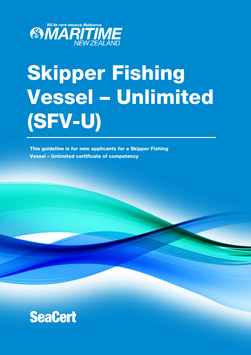

# Skipper Fishing Vessel – Unlimited (SFV-U)

This guideline is for new applicants for a Skipper Fishing Vessel – Unlimited certificate of competency

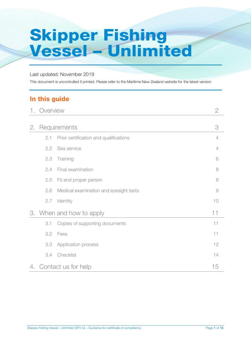# Skipper Fishing Vessel – Unlimited

#### Last updated: November 2019

This document is uncontrolled if printed. Please refer to the Maritime New Zealand website for the latest version.

## In this guide

| 1. | Overview                     |                                        | $\mathbf{2}$   |
|----|------------------------------|----------------------------------------|----------------|
| 2. |                              | Requirements                           | 3              |
|    | 2.1                          | Prior certification and qualifications | $\overline{4}$ |
|    | 2.2                          | Sea service                            | $\overline{4}$ |
|    | 2.3                          | Training                               | 6              |
|    | 2.4                          | Final examination                      | 8              |
|    | 2.5                          | Fit and proper person                  | 8              |
|    | 2.6                          | Medical examination and eyesight tests | $\Theta$       |
|    | 2.7                          | Identity                               | 10             |
|    | 3. When and how to apply     |                                        | 11             |
|    | 3.1                          | Copies of supporting documents         | 11             |
|    | 3.2                          | Fees                                   | 11             |
|    | 3.3                          | Application process                    | 12             |
|    | 3.4                          | Checklist                              | 14             |
|    | 4. Contact us for help<br>15 |                                        |                |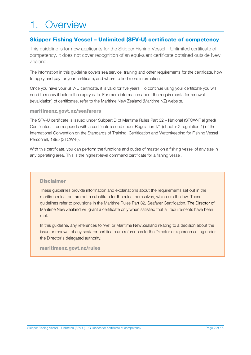# 1. Overview

#### Skipper Fishing Vessel – Unlimited (SFV-U) certificate of competency

This guideline is for new applicants for the Skipper Fishing Vessel – Unlimited certificate of competency. It does not cover recognition of an equivalent certificate obtained outside New Zealand.

The information in this guideline covers sea service, training and other requirements for the certificate, how to apply and pay for your certificate, and where to find more information.

Once you have your SFV-U certificate, it is valid for five years. To continue using your certificate you will need to renew it before the expiry date. For more information about the requirements for renewal (revalidation) of certificates, refer to the Maritime New Zealand (Maritime NZ) website.

#### maritimenz.govt.nz/seafarers

The SFV-U certificate is issued under Subpart D of Maritime Rules Part 32 – National (STCW-F aligned) Certificates. It corresponds with a certificate issued under Regulation II/1 (chapter 2 regulation 1) of the International Convention on the Standards of Training, Certification and Watchkeeping for Fishing Vessel Personnel, 1995 (STCW-F).

With this certificate, you can perform the functions and duties of master on a fishing vessel of any size in any operating area. This is the highest-level command certificate for a fishing vessel.

#### **Disclaimer**

These guidelines provide information and explanations about the requirements set out in the maritime rules, but are not a substitute for the rules themselves, which are the law. These guidelines refer to provisions in the Maritime Rules Part 32, Seafarer Certification. The Director of Maritime New Zealand will grant a certificate only when satisfied that all requirements have been met.

In this guideline, any references to 'we' or Maritime New Zealand relating to a decision about the issue or renewal of any seafarer certificate are references to the Director or a person acting under the Director's delegated authority.

#### maritimenz.govt.nz/rules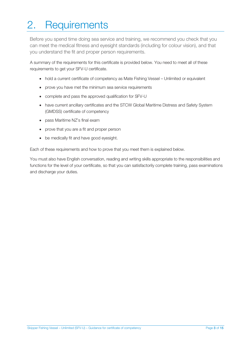# 2. Requirements

Before you spend time doing sea service and training, we recommend you check that you can meet the medical fitness and eyesight standards (including for colour vision), and that you understand the fit and proper person requirements.

A summary of the requirements for this certificate is provided below. You need to meet all of these requirements to get your SFV-U certificate.

- hold a current certificate of competency as Mate Fishing Vessel Unlimited or equivalent
- prove you have met the minimum sea service requirements
- complete and pass the approved qualification for SFV-U
- have current ancillary certificates and the STCW Global Maritime Distress and Safety System (GMDSS) certificate of competency
- pass Maritime NZ's final exam
- prove that you are a fit and proper person
- be medically fit and have good eyesight.

Each of these requirements and how to prove that you meet them is explained below.

You must also have English conversation, reading and writing skills appropriate to the responsibilities and functions for the level of your certificate, so that you can satisfactorily complete training, pass examinations and discharge your duties.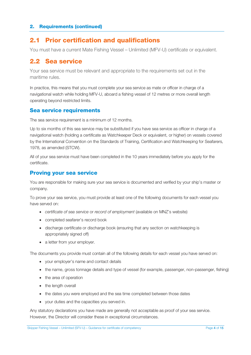#### 2.1 Prior certification and qualifications

You must have a current Mate Fishing Vessel – Unlimited (MFV-U) certificate or equivalent.

#### 2.2 Sea service

Your sea service must be relevant and appropriate to the requirements set out in the maritime rules.

In practice, this means that you must complete your sea service as mate or officer in charge of a navigational watch while holding MFV-U, aboard a fishing vessel of 12 metres or more overall length operating beyond restricted limits.

#### Sea service requirements

The sea service requirement is a minimum of 12 months.

Up to six months of this sea service may be substituted if you have sea service as officer in charge of a navigational watch (holding a certificate as Watchkeeper Deck or equivalent, or higher) on vessels covered by the International Convention on the Standards of Training, Certification and Watchkeeping for Seafarers, 1978, as amended (STCW).

All of your sea service must have been completed in the 10 years immediately before you apply for the certificate.

#### Proving your sea service

You are responsible for making sure your sea service is documented and verified by your ship's master or company.

To prove your sea service, you must provide at least one of the following documents for each vessel you have served on:

- *certificate of sea service* or *record of employment* (available on MNZ's website)
- completed seafarer's record book
- discharge certificate or discharge book (ensuring that any section on watchkeeping is appropriately signed off)
- a letter from your employer.

The documents you provide must contain all of the following details for each vessel you have served on:

- your employer's name and contact details
- the name, gross tonnage details and type of vessel (for example, passenger, non-passenger, fishing)
- the area of operation
- the length overall
- the dates you were employed and the sea time completed between those dates
- your duties and the capacities you served in.

Any statutory declarations you have made are generally not acceptable as proof of your sea service. However, the Director will consider these in exceptional circumstances.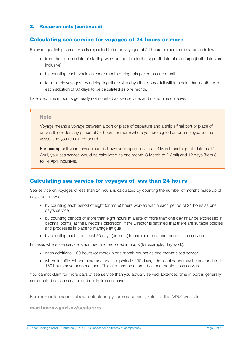#### Calculating sea service for voyages of 24 hours or more

Relevant qualifying sea service is expected to be on voyages of 24 hours or more, calculated as follows:

- from the sign-on date of starting work on the ship to the sign-off date of discharge (both dates are inclusive)
- by counting each whole calendar month during this period as one month
- for multiple voyages, by adding together extra days that do not fall within a calendar month, with each addition of 30 days to be calculated as one month.

Extended time in port is generally not counted as sea service, and nor is time on leave.

#### **Note**

Voyage means a voyage between a port or place of departure and a ship's final port or place of arrival. It includes any period of 24 hours (or more) where you are signed on or employed on the vessel and you remain on board.

For example: If your service record shows your sign-on date as 3 March and sign-off date as 14 April, your sea service would be calculated as one month (3 March to 2 April) and 12 days (from 3 to 14 April inclusive).

#### Calculating sea service for voyages of less than 24 hours

Sea service on voyages of less than 24 hours is calculated by counting the number of months made up of days, as follows:

- by counting each period of eight (or more) hours worked within each period of 24 hours as one day's service
- by counting periods of more than eight hours at a rate of more than one day (may be expressed in decimal points) at the Director's discretion, if the Director is satisfied that there are suitable policies and processes in place to manage fatigue
- by counting each additional 20 days (or more) in one month as one month's sea service.

In cases where sea service is accrued and recorded in hours (for example, day work):

- each additional 160 hours (or more) in one month counts as one month's sea service
- where insufficient hours are accrued in a period of 30 days, additional hours may be accrued until 160 hours have been reached. This can then be counted as one month's sea service.

You cannot claim for more days of sea service than you actually served. Extended time in port is generally not counted as sea service, and nor is time on leave.

For more information about calculating your sea service, refer to the MNZ website:

maritimenz.govt.nz/seafarers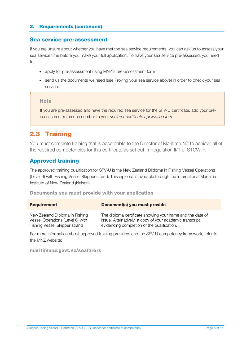#### Sea service pre-assessment

If you are unsure about whether you have met the sea service requirements, you can ask us to assess your sea service time before you make your full application. To have your sea service pre-assessed, you need to:

- apply for pre-assessment using MNZ's pre-assessment form
- send us the documents we need (see Proving your sea service above) in order to check your sea service.

#### **Note**

If you are pre-assessed and have the required sea service for the SFV-U certificate, add your preassessment reference number to your *seafarer certificate application form*.

## 2.3 Training

You must complete training that is acceptable to the Director of Maritime NZ to achieve all of the required competencies for this certificate as set out in Regulation II/1 of STCW-F.

#### Approved training

The approved training qualification for SFV-U is the New Zealand Diploma in Fishing Vessel Operations (Level 6) with Fishing Vessel Skipper strand. This diploma is available through the International Maritime Institute of New Zealand (Nelson).

#### Documents you must provide with your application

| <b>Requirement</b>               | Document(s) you must provide                              |
|----------------------------------|-----------------------------------------------------------|
| New Zealand Diploma in Fishing   | The diploma certificate showing your name and the date of |
| Vessel Operations (Level 6) with | issue. Alternatively, a copy of your academic transcript  |
| Fishing Vessel Skipper strand    | evidencing completion of the qualification.               |

For more information about approved training providers and the SFV-U competency framework, refer to the MNZ website:

#### maritimenz.govt.nz/seafarers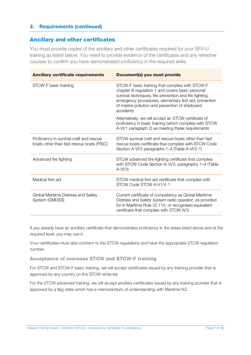#### Ancillary and other certificates

You must provide copies of the ancillary and other certificates required for your SFV-U training as listed below. You need to provide evidence of the certificates and any refresher courses to confirm you have demonstrated proficiency in the required skills.

| <b>Ancillary certificate requirements</b>                                             | Document(s) you must provide                                                                                                                                                                                                                                                               |
|---------------------------------------------------------------------------------------|--------------------------------------------------------------------------------------------------------------------------------------------------------------------------------------------------------------------------------------------------------------------------------------------|
| STCW-F basic training                                                                 | STCW-F basic training that complies with STCW-F<br>chapter III regulation 1 and covers basic personal<br>survival techniques, fire prevention and fire fighting,<br>emergency procedures, elementary first aid, prevention<br>of marine pollution and prevention of shipboard<br>accidents |
|                                                                                       | Alternatively, we will accept an STCW certificate of<br>proficiency in basic training (which complies with STCW<br>A-VI/1 paragraph 2) as meeting these requirements                                                                                                                       |
| Proficiency in survival craft and rescue<br>boats other than fast rescue boats (PISC) | STCW survival craft and rescue boats other than fast<br>rescue boats certificate that complies with STCW Code<br>Section A-VI/2 paragraphs 1–4 (Table A-VI/2-1)                                                                                                                            |
| Advanced fire fighting                                                                | STCW advanced fire-fighting certificate that complies<br>with STCW Code Section A-VI/3, paragraphs 1-4 (Table<br>$A-VI/3$                                                                                                                                                                  |
| Medical first aid                                                                     | STCW medical first aid certificate that complies with<br>STCW Code STCW A-V1/4-1                                                                                                                                                                                                           |
| Global Maritime Distress and Safety<br>System (GMDSS)                                 | Current certificate of competency as Global Maritime<br>Distress and Safety System radio operator, as provided<br>for in Maritime Rule 32.114, or recognised equivalent<br>certificate that complies with STCW IV/2                                                                        |

If you already have an ancillary certificate that demonstrates proficiency in the areas listed above and at the required level, you may use it.

Your certificates must also conform to the STCW regulations and have the appropriate STCW regulation number.

Acceptance of overseas STCW and STCW-F training

For STCW and STCW-F basic training, we will accept certificates issued by any training provider that is approved by any country on the STCW white list.

For the STCW advanced training, we will accept ancillary certificates issued by any training provider that is approved by a flag state which has a memorandum of understanding with Maritime NZ.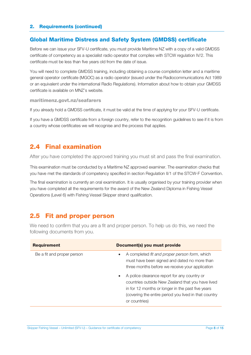#### Global Maritime Distress and Safety System (GMDSS) certificate

Before we can issue your SFV-U certificate, you must provide Maritime NZ with a copy of a valid GMDSS certificate of competency as a specialist radio operator that complies with STCW regulation IV/2. This certificate must be less than five years old from the date of issue.

You will need to complete GMDSS training, including obtaining a course completion letter and a maritime general operator certificate (MGOC) as a radio operator (issued under the Radiocommunications Act 1989 or an equivalent under the international Radio Regulations). Information about how to obtain your GMDSS certificate is available on MNZ's website.

maritimenz.govt.nz/seafarers

If you already hold a GMDSS certificate, it must be valid at the time of applying for your SFV-U certificate.

If you have a GMDSS certificate from a foreign country, refer to the recognition guidelines to see if it is from a country whose certificates we will recognise and the process that applies.

#### 2.4 Final examination

After you have completed the approved training you must sit and pass the final examination.

This examination must be conducted by a Maritime NZ approved examiner. The examination checks that you have met the standards of competency specified in section Regulation II/1 of the STCW-F Convention.

The final examination is currently an oral examination. It is usually organised by your training provider when you have completed all the requirements for the award of the New Zealand Diploma in Fishing Vessel Operations (Level 6) with Fishing Vessel Skipper strand qualification.

#### 2.5 Fit and proper person

We need to confirm that you are a fit and proper person. To help us do this, we need the following documents from you.

| Document(s) you must provide                                                                                                                                                                                                                                                                                                                                                                      |  |
|---------------------------------------------------------------------------------------------------------------------------------------------------------------------------------------------------------------------------------------------------------------------------------------------------------------------------------------------------------------------------------------------------|--|
| A completed fit and proper person form, which<br>must have been signed and dated no more than<br>three months before we receive your application<br>A police clearance report for any country or<br>$\bullet$<br>countries outside New Zealand that you have lived<br>in for 12 months or longer in the past five years<br>(covering the entire period you lived in that country<br>or countries) |  |
|                                                                                                                                                                                                                                                                                                                                                                                                   |  |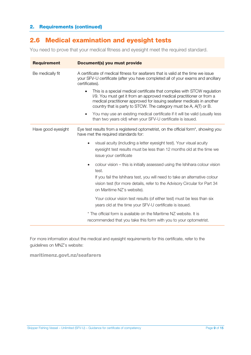## 2.6 Medical examination and eyesight tests

You need to prove that your medical fitness and eyesight meet the required standard.

| <b>Requirement</b> | Document(s) you must provide                                                                                                                                                                                                                                                                    |  |  |
|--------------------|-------------------------------------------------------------------------------------------------------------------------------------------------------------------------------------------------------------------------------------------------------------------------------------------------|--|--|
| Be medically fit   | A certificate of medical fitness for seafarers that is valid at the time we issue<br>your SFV-U certificate (after you have completed all of your exams and ancillary<br>certificates).                                                                                                         |  |  |
|                    | This is a special medical certificate that complies with STCW regulation<br>I/9. You must get it from an approved medical practitioner or from a<br>medical practitioner approved for issuing seafarer medicals in another<br>country that is party to STCW. The category must be A, A(T) or B. |  |  |
|                    | You may use an existing medical certificate if it will be valid (usually less<br>$\bullet$<br>than two years old) when your SFV-U certificate is issued.                                                                                                                                        |  |  |
| Have good eyesight | Eye test results from a registered optometrist, on the official form*, showing you<br>have met the required standards for:                                                                                                                                                                      |  |  |
|                    | visual acuity (including a letter eyesight test). Your visual acuity<br>$\bullet$<br>eyesight test results must be less than 12 months old at the time we<br>issue your certificate                                                                                                             |  |  |
|                    | colour vision – this is initially assessed using the Ishihara colour vision<br>$\bullet$<br>test.                                                                                                                                                                                               |  |  |
|                    | If you fail the Ishihara test, you will need to take an alternative colour<br>vision test (for more details, refer to the Advisory Circular for Part 34<br>on Maritime NZ's website).                                                                                                           |  |  |
|                    | Your colour vision test results (of either test) must be less than six<br>years old at the time your SFV-U certificate is issued.                                                                                                                                                               |  |  |
|                    | * The official form is available on the Maritime NZ website. It is<br>recommended that you take this form with you to your optometrist.                                                                                                                                                         |  |  |

For more information about the medical and eyesight requirements for this certificate, refer to the guidelines on MNZ's website:

maritimenz.govt.nz/seafarers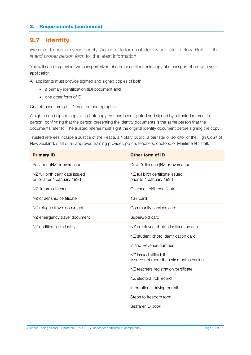## 2.7 Identity

We need to confirm your identity. Acceptable forms of identity are listed below. Refer to the *fit and proper person form* for the latest information.

You will need to provide two passport-sized photos or an electronic copy of a passport photo with your application.

All applicants must provide sighted and signed copies of both:

- a primary identification (ID) document and
- one other form of ID.

One of these forms of ID must be photographic.

A sighted and signed copy is a photocopy that has been sighted and signed by a trusted referee, in person, confirming that the person presenting the identity documents is the same person that the documents refer to. The trusted referee must sight the original identity document before signing the copy.

Trusted referees include a Justice of the Peace, a Notary public, a barrister or solicitor of the High Court of New Zealand, staff of an approved training provider, police, teachers, doctors, or Maritime NZ staff.

| <b>Primary ID</b>                                              | <b>Other form of ID</b>                                             |
|----------------------------------------------------------------|---------------------------------------------------------------------|
| Passport (NZ or overseas)                                      | Driver's licence (NZ or overseas)                                   |
| NZ full birth certificate issued<br>on or after 1 January 1998 | NZ full birth certificate issued<br>prior to 1 January 1998         |
| NZ firearms licence                                            | Overseas birth certificate                                          |
| NZ citizenship certificate                                     | $18 + \text{card}$                                                  |
| NZ refugee travel document                                     | Community services card                                             |
| NZ emergency travel document                                   | SuperGold card                                                      |
| NZ certificate of identity                                     | NZ employee photo identification card                               |
|                                                                | NZ student photo identification card                                |
|                                                                | Inland Revenue number                                               |
|                                                                | NZ issued utility bill<br>(issued not more than six months earlier) |
|                                                                | NZ teachers registration certificate                                |
|                                                                | NZ electoral roll record                                            |
|                                                                | International driving permit                                        |
|                                                                | Steps to freedom form                                               |
|                                                                | Seafarer ID book                                                    |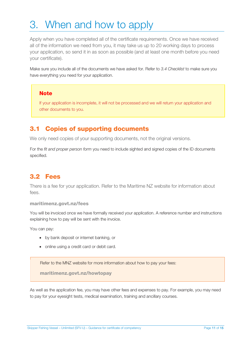# 3. When and how to apply

Apply when you have completed all of the certificate requirements. Once we have received all of the information we need from you, it may take us up to 20 working days to process your application, so send it in as soon as possible (and at least one month before you need your certificate).

Make sure you include all of the documents we have asked for. Refer to *3.4 Checklist* to make sure you have everything you need for your application.

#### Note

If your application is incomplete, it will not be processed and we will return your application and other documents to you.

## 3.1 Copies of supporting documents

We only need copies of your supporting documents, not the original versions.

For the *fit and proper person form* you need to include sighted and signed copies of the ID documents specified.

#### 3.2 Fees

There is a fee for your application. Refer to the Maritime NZ website for information about fees.

#### maritimenz.govt.nz/fees

You will be invoiced once we have formally received your application. A reference number and instructions explaining how to pay will be sent with the invoice.

You can pay:

- by bank deposit or internet banking, or
- online using a credit card or debit card.

Refer to the MNZ website for more information about how to pay your fees:

maritimenz.govt.nz/howtopay

As well as the application fee, you may have other fees and expenses to pay. For example, you may need to pay for your eyesight tests, medical examination, training and ancillary courses.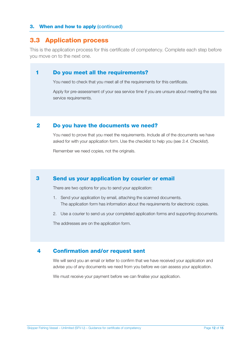#### 3. When and how to apply (continued)

#### 3.3 Application process

This is the application process for this certificate of competency. Complete each step before you move on to the next one.

#### Do you meet all the requirements? 1

You need to check that you meet all of the requirements for this certificate.

Apply for pre-assessment of your sea service time if you are unsure about meeting the sea service requirements.

#### Do you have the documents we need? 2

You need to prove that you meet the requirements. Include all of the documents we have asked for with your application form. Use the checklist to help you (see *3.4. Checklist*).

Remember we need copies, not the originals.

#### Send us your application by courier or email 3

There are two options for you to send your application:

- 1. Send your application by email, attaching the scanned documents. The application form has information about the requirements for electronic copies.
- 2. Use a courier to send us your completed application forms and supporting documents.

The addresses are on the application form.

#### Confirmation and/or request sent 4

We will send you an email or letter to confirm that we have received your application and advise you of any documents we need from you before we can assess your application.

We must receive your payment before we can finalise your application.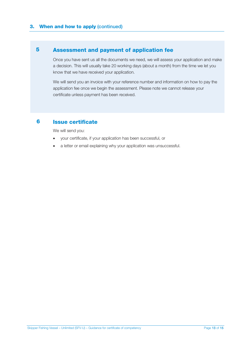#### Assessment and payment of application fee 5

Once you have sent us all the documents we need, we will assess your application and make a decision. This will usually take 20 working days (about a month) from the time we let you know that we have received your application.

We will send you an invoice with your reference number and information on how to pay the application fee once we begin the assessment. Please note we cannot release your certificate unless payment has been received.

#### Issue certificate 6

We will send you:

- your certificate, if your application has been successful, or
- a letter or email explaining why your application was unsuccessful.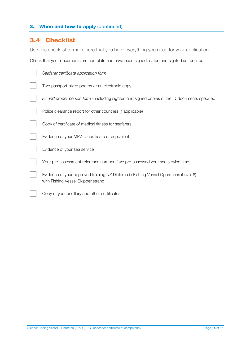## 3.4 Checklist

Use this checklist to make sure that you have everything you need for your application.

Check that your documents are complete and have been signed, dated and sighted as required.

| Seafarer certificate application form                                                                                      |
|----------------------------------------------------------------------------------------------------------------------------|
| Two passport-sized photos or an electronic copy                                                                            |
| Fit and proper person form - including sighted and signed copies of the ID documents specified                             |
| Police clearance report for other countries (if applicable)                                                                |
| Copy of certificate of medical fitness for seafarers                                                                       |
| Evidence of your MFV-U certificate or equivalent                                                                           |
| Evidence of your sea service                                                                                               |
| Your pre-assessment reference number if we pre-assessed your sea service time                                              |
| Evidence of your approved training NZ Diploma in Fishing Vessel Operations (Level 6)<br>with Fishing Vessel Skipper strand |
| Copy of your ancillary and other certificates                                                                              |